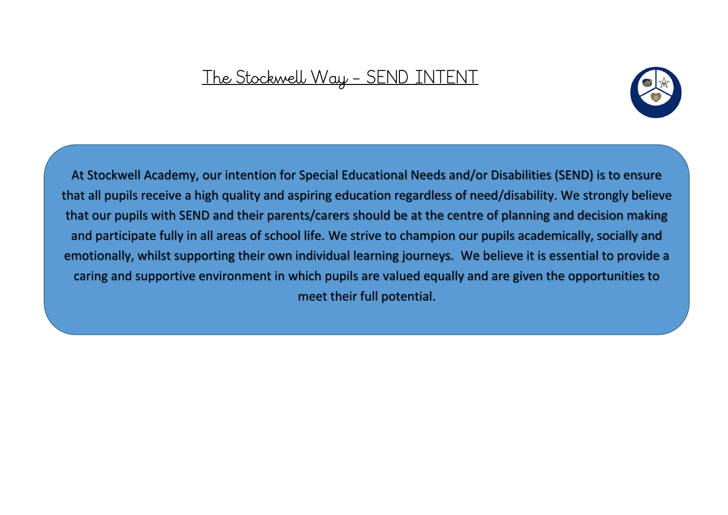# The Stockwell Way - SEND INTENT



that our pupils with SEND and their parents/carers should be at the centre of planning and decision making and participate fully in all areas of school life. We strive to champion our pupils academically, socially and At Stockwell Academy, our intention for Special Educational Needs and/or Disabilities (SEND) is to ensure that all pupils receive a high quality and aspiring education regardless of need/disability. We strongly believe emotionally, whilst supporting their own individual learning journeys. We believe it is essential to provide a caring and supportive environment in which pupils are valued equally and are given the opportunities to meet their full potential.